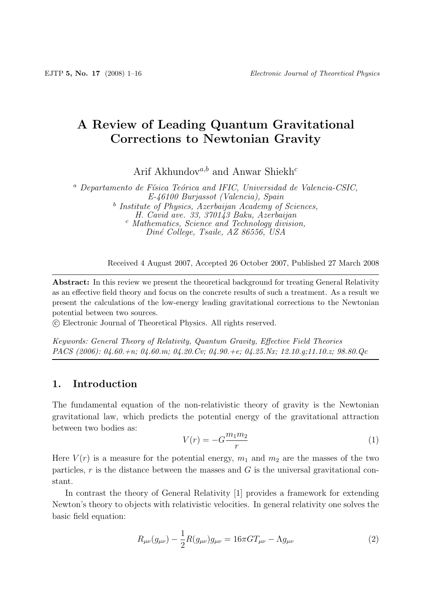# **A Review of Leading Quantum Gravitational Corrections to Newtonian Gravity**

Arif Akhundov $a,b}$  and Anwar Shiekh<sup>c</sup>

 $a$  Departamento de Física Teórica and IFIC, Universidad de Valencia-CSIC, E-46100 Burjassot (Valencia), Spain <sup>b</sup> Institute of Physics, Azerbaijan Academy of Sciences, H. Cavid ave. 33, 370143 Baku, Azerbaijan <sup>c</sup> Mathematics, Science and Technology division, Diné College, Tsaile, AZ 86556, USA

Received 4 August 2007, Accepted 26 October 2007, Published 27 March 2008

**Abstract:** In this review we present the theoretical background for treating General Relativity as an effective field theory and focus on the concrete results of such a treatment. As a result we present the calculations of the low-energy leading gravitational corrections to the Newtonian potential between two sources.

-c Electronic Journal of Theoretical Physics. All rights reserved.

*Keywords: General Theory of Relativity, Quantum Gravity, Effective Field Theories PACS (2006): 04.60.+n; 04.60.m; 04.20.Cv; 04.90.+e; 04.25.Nx; 12.10.g;11.10.z; 98.80.Qc*

# **1. Introduction**

The fundamental equation of the non-relativistic theory of gravity is the Newtonian gravitational law, which predicts the potential energy of the gravitational attraction between two bodies as:

$$
V(r) = -G\frac{m_1 m_2}{r} \tag{1}
$$

Here  $V(r)$  is a measure for the potential energy,  $m_1$  and  $m_2$  are the masses of the two particles,  $r$  is the distance between the masses and  $G$  is the universal gravitational constant.

In contrast the theory of General Relativity [1] provides a framework for extending Newton's theory to objects with relativistic velocities. In general relativity one solves the basic field equation:

$$
R_{\mu\nu}(g_{\mu\nu}) - \frac{1}{2}R(g_{\mu\nu})g_{\mu\nu} = 16\pi GT_{\mu\nu} - \Lambda g_{\mu\nu}
$$
 (2)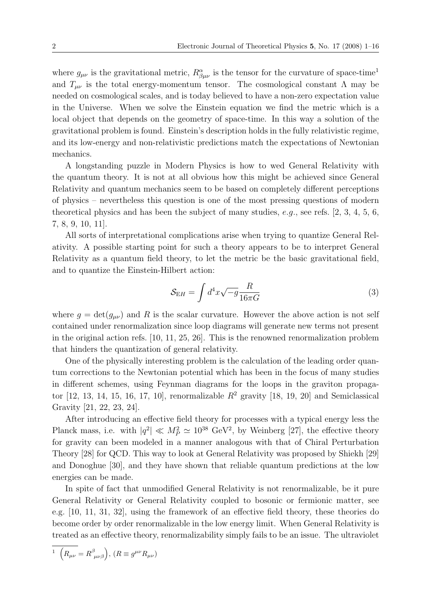where  $g_{\mu\nu}$  is the gravitational metric,  $R^{\alpha}_{\beta\mu\nu}$  is the tensor for the curvature of space-time<sup>1</sup> and  $T_{\mu\nu}$  is the total energy-momentum tensor. The cosmological constant  $\Lambda$  may be needed on cosmological scales, and is today believed to have a non-zero expectation value in the Universe. When we solve the Einstein equation we find the metric which is a local object that depends on the geometry of space-time. In this way a solution of the gravitational problem is found. Einstein's description holds in the fully relativistic regime, and its low-energy and non-relativistic predictions match the expectations of Newtonian mechanics.

A longstanding puzzle in Modern Physics is how to wed General Relativity with the quantum theory. It is not at all obvious how this might be achieved since General Relativity and quantum mechanics seem to be based on completely different perceptions of physics – nevertheless this question is one of the most pressing questions of modern theoretical physics and has been the subject of many studies, e.g., see refs.  $[2, 3, 4, 5, 6,$ 7, 8, 9, 10, 11].

All sorts of interpretational complications arise when trying to quantize General Relativity. A possible starting point for such a theory appears to be to interpret General Relativity as a quantum field theory, to let the metric be the basic gravitational field, and to quantize the Einstein-Hilbert action:

$$
S_{\rm EH} = \int d^4x \sqrt{-g} \frac{R}{16\pi G} \tag{3}
$$

where  $g = det(g_{\mu\nu})$  and R is the scalar curvature. However the above action is not self contained under renormalization since loop diagrams will generate new terms not present in the original action refs. [10, 11, 25, 26]. This is the renowned renormalization problem that hinders the quantization of general relativity.

One of the physically interesting problem is the calculation of the leading order quantum corrections to the Newtonian potential which has been in the focus of many studies in different schemes, using Feynman diagrams for the loops in the graviton propagator [12, 13, 14, 15, 16, 17, 10], renormalizable  $R^2$  gravity [18, 19, 20] and Semiclassical Gravity [21, 22, 23, 24].

After introducing an effective field theory for processes with a typical energy less the Planck mass, i.e. with  $|q^2| \ll M_P^2 \simeq 10^{38} \text{ GeV}^2$ , by Weinberg [27], the effective theory for gravity can been modeled in a manner analogous with that of Chiral Perturbation Theory [28] for QCD. This way to look at General Relativity was proposed by Shiekh [29] and Donoghue [30], and they have shown that reliable quantum predictions at the low energies can be made.

In spite of fact that unmodified General Relativity is not renormalizable, be it pure General Relativity or General Relativity coupled to bosonic or fermionic matter, see e.g. [10, 11, 31, 32], using the framework of an effective field theory, these theories do become order by order renormalizable in the low energy limit. When General Relativity is treated as an effective theory, renormalizability simply fails to be an issue. The ultraviolet

$$
^{1}\ \left( R_{\mu\nu}=R_{\ \mu\nu\beta}^{\beta}\right) ,\ (R\equiv g^{\mu\nu}R_{\mu\nu})
$$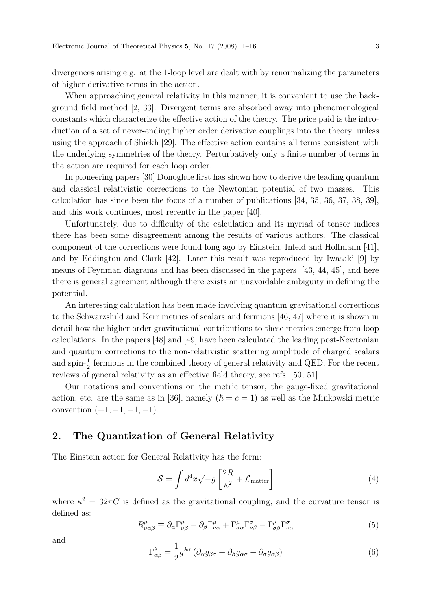divergences arising e.g. at the 1-loop level are dealt with by renormalizing the parameters of higher derivative terms in the action.

When approaching general relativity in this manner, it is convenient to use the background field method [2, 33]. Divergent terms are absorbed away into phenomenological constants which characterize the effective action of the theory. The price paid is the introduction of a set of never-ending higher order derivative couplings into the theory, unless using the approach of Shiekh [29]. The effective action contains all terms consistent with the underlying symmetries of the theory. Perturbatively only a finite number of terms in the action are required for each loop order.

In pioneering papers [30] Donoghue first has shown how to derive the leading quantum and classical relativistic corrections to the Newtonian potential of two masses. This calculation has since been the focus of a number of publications [34, 35, 36, 37, 38, 39], and this work continues, most recently in the paper [40].

Unfortunately, due to difficulty of the calculation and its myriad of tensor indices there has been some disagreement among the results of various authors. The classical component of the corrections were found long ago by Einstein, Infeld and Hoffmann [41], and by Eddington and Clark [42]. Later this result was reproduced by Iwasaki [9] by means of Feynman diagrams and has been discussed in the papers [43, 44, 45], and here there is general agreement although there exists an unavoidable ambiguity in defining the potential.

An interesting calculation has been made involving quantum gravitational corrections to the Schwarzshild and Kerr metrics of scalars and fermions [46, 47] where it is shown in detail how the higher order gravitational contributions to these metrics emerge from loop calculations. In the papers [48] and [49] have been calculated the leading post-Newtonian and quantum corrections to the non-relativistic scattering amplitude of charged scalars and spin- $\frac{1}{2}$  fermions in the combined theory of general relativity and QED. For the recent reviews of general relativity as an effective field theory, see refs. [50, 51]

Our notations and conventions on the metric tensor, the gauge-fixed gravitational action, etc. are the same as in [36], namely  $(\hbar = c = 1)$  as well as the Minkowski metric convention  $(+1, -1, -1, -1)$ .

# **2. The Quantization of General Relativity**

The Einstein action for General Relativity has the form:

$$
S = \int d^4x \sqrt{-g} \left[ \frac{2R}{\kappa^2} + \mathcal{L}_{\text{matter}} \right] \tag{4}
$$

where  $\kappa^2 = 32\pi G$  is defined as the gravitational coupling, and the curvature tensor is defined as:

$$
R^{\mu}_{\nu\alpha\beta} \equiv \partial_{\alpha}\Gamma^{\mu}_{\nu\beta} - \partial_{\beta}\Gamma^{\mu}_{\nu\alpha} + \Gamma^{\mu}_{\sigma\alpha}\Gamma^{\sigma}_{\nu\beta} - \Gamma^{\mu}_{\sigma\beta}\Gamma^{\sigma}_{\nu\alpha} \tag{5}
$$

and

$$
\Gamma^{\lambda}_{\alpha\beta} = \frac{1}{2} g^{\lambda\sigma} \left( \partial_{\alpha} g_{\beta\sigma} + \partial_{\beta} g_{\alpha\sigma} - \partial_{\sigma} g_{\alpha\beta} \right) \tag{6}
$$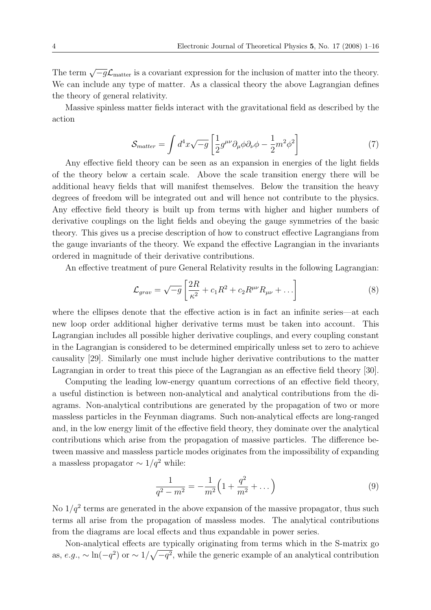The term  $\sqrt{-g}\mathcal{L}_{\text{matter}}$  is a covariant expression for the inclusion of matter into the theory. We can include any type of matter. As a classical theory the above Lagrangian defines the theory of general relativity.

Massive spinless matter fields interact with the gravitational field as described by the action

$$
S_{matter} = \int d^4x \sqrt{-g} \left[ \frac{1}{2} g^{\mu\nu} \partial_\mu \phi \partial_\nu \phi - \frac{1}{2} m^2 \phi^2 \right] \tag{7}
$$

Any effective field theory can be seen as an expansion in energies of the light fields of the theory below a certain scale. Above the scale transition energy there will be additional heavy fields that will manifest themselves. Below the transition the heavy degrees of freedom will be integrated out and will hence not contribute to the physics. Any effective field theory is built up from terms with higher and higher numbers of derivative couplings on the light fields and obeying the gauge symmetries of the basic theory. This gives us a precise description of how to construct effective Lagrangians from the gauge invariants of the theory. We expand the effective Lagrangian in the invariants ordered in magnitude of their derivative contributions.

An effective treatment of pure General Relativity results in the following Lagrangian:

$$
\mathcal{L}_{grav} = \sqrt{-g} \left[ \frac{2R}{\kappa^2} + c_1 R^2 + c_2 R^{\mu \nu} R_{\mu \nu} + \dots \right] \tag{8}
$$

where the ellipses denote that the effective action is in fact an infinite series—at each new loop order additional higher derivative terms must be taken into account. This Lagrangian includes all possible higher derivative couplings, and every coupling constant in the Lagrangian is considered to be determined empirically unless set to zero to achieve causality [29]. Similarly one must include higher derivative contributions to the matter Lagrangian in order to treat this piece of the Lagrangian as an effective field theory [30].

Computing the leading low-energy quantum corrections of an effective field theory, a useful distinction is between non-analytical and analytical contributions from the diagrams. Non-analytical contributions are generated by the propagation of two or more massless particles in the Feynman diagrams. Such non-analytical effects are long-ranged and, in the low energy limit of the effective field theory, they dominate over the analytical contributions which arise from the propagation of massive particles. The difference between massive and massless particle modes originates from the impossibility of expanding a massless propagator  $\sim 1/q^2$  while:

$$
\frac{1}{q^2 - m^2} = -\frac{1}{m^2} \left( 1 + \frac{q^2}{m^2} + \dots \right) \tag{9}
$$

No  $1/q^2$  terms are generated in the above expansion of the massive propagator, thus such terms all arise from the propagation of massless modes. The analytical contributions from the diagrams are local effects and thus expandable in power series.

Non-analytical effects are typically originating from terms which in the S-matrix go as,  $e.g., \sim \ln(-q^2)$  or  $\sim 1/\sqrt{-q^2}$ , while the generic example of an analytical contribution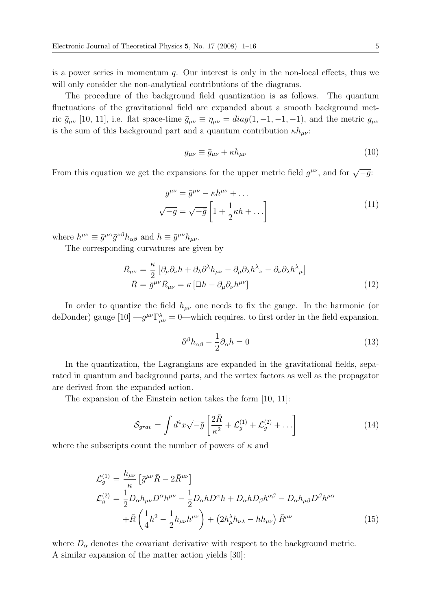is a power series in momentum q. Our interest is only in the non-local effects, thus we will only consider the non-analytical contributions of the diagrams.

The procedure of the background field quantization is as follows. The quantum fluctuations of the gravitational field are expanded about a smooth background metric  $\bar{g}_{\mu\nu}$  [10, 11], i.e. flat space-time  $\bar{g}_{\mu\nu} \equiv \eta_{\mu\nu} = diag(1, -1, -1, -1)$ , and the metric  $g_{\mu\nu}$ is the sum of this background part and a quantum contribution  $\kappa h_{\mu\nu}$ :

$$
g_{\mu\nu} \equiv \bar{g}_{\mu\nu} + \kappa h_{\mu\nu} \tag{10}
$$

From this equation we get the expansions for the upper metric field  $g^{\mu\nu}$ , and for  $\sqrt{-g}$ :

$$
g^{\mu\nu} = \bar{g}^{\mu\nu} - \kappa h^{\mu\nu} + \dots
$$

$$
\sqrt{-g} = \sqrt{-\bar{g}} \left[ 1 + \frac{1}{2} \kappa h + \dots \right]
$$
(11)

where  $h^{\mu\nu} \equiv \bar{g}^{\mu\alpha} \bar{g}^{\nu\beta} h_{\alpha\beta}$  and  $h \equiv \bar{g}^{\mu\nu} h_{\mu\nu}$ .

The corresponding curvatures are given by

$$
\bar{R}_{\mu\nu} = \frac{\kappa}{2} \left[ \partial_{\mu} \partial_{\nu} h + \partial_{\lambda} \partial^{\lambda} h_{\mu\nu} - \partial_{\mu} \partial_{\lambda} h^{\lambda}{}_{\nu} - \partial_{\nu} \partial_{\lambda} h^{\lambda}{}_{\mu} \right]
$$
\n
$$
\bar{R} = \bar{g}^{\mu\nu} \bar{R}_{\mu\nu} = \kappa \left[ \Box h - \partial_{\mu} \partial_{\nu} h^{\mu\nu} \right]
$$
\n(12)

In order to quantize the field  $h_{\mu\nu}$  one needs to fix the gauge. In the harmonic (or deDonder) gauge  $[10] - g^{\mu\nu} \Gamma^{\lambda}_{\mu\nu} = 0$ —which requires, to first order in the field expansion,

$$
\partial^{\beta}h_{\alpha\beta} - \frac{1}{2}\partial_{\alpha}h = 0
$$
\n(13)

In the quantization, the Lagrangians are expanded in the gravitational fields, separated in quantum and background parts, and the vertex factors as well as the propagator are derived from the expanded action.

The expansion of the Einstein action takes the form [10, 11]:

$$
S_{grav} = \int d^4x \sqrt{-\bar{g}} \left[ \frac{2\bar{R}}{\kappa^2} + \mathcal{L}_g^{(1)} + \mathcal{L}_g^{(2)} + \dots \right]
$$
 (14)

where the subscripts count the number of powers of  $\kappa$  and

$$
\mathcal{L}_{g}^{(1)} = \frac{h_{\mu\nu}}{\kappa} \left[ \bar{g}^{\mu\nu} \bar{R} - 2 \bar{R}^{\mu\nu} \right]
$$
\n
$$
\mathcal{L}_{g}^{(2)} = \frac{1}{2} D_{\alpha} h_{\mu\nu} D^{\alpha} h^{\mu\nu} - \frac{1}{2} D_{\alpha} h D^{\alpha} h + D_{\alpha} h D_{\beta} h^{\alpha\beta} - D_{\alpha} h_{\mu\beta} D^{\beta} h^{\mu\alpha}
$$
\n
$$
+ \bar{R} \left( \frac{1}{4} h^2 - \frac{1}{2} h_{\mu\nu} h^{\mu\nu} \right) + \left( 2 h_{\mu}^{\lambda} h_{\nu\lambda} - h h_{\mu\nu} \right) \bar{R}^{\mu\nu}
$$
\n(15)

where  $D_{\alpha}$  denotes the covariant derivative with respect to the background metric. A similar expansion of the matter action yields [30]: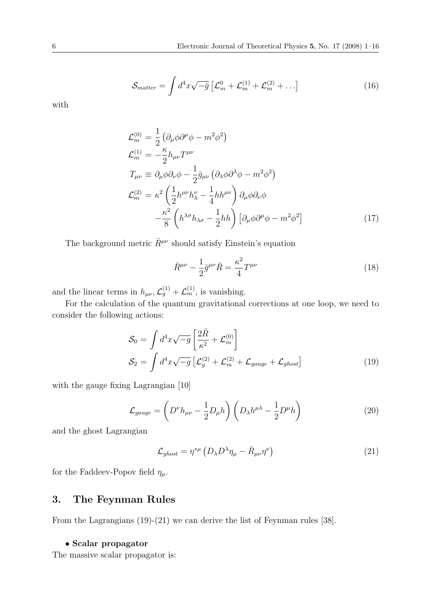$$
S_{matter} = \int d^4x \sqrt{-\bar{g}} \left[ \mathcal{L}_m^0 + \mathcal{L}_m^{(1)} + \mathcal{L}_m^{(2)} + \dots \right] \tag{16}
$$

with

$$
\mathcal{L}_{m}^{(0)} = \frac{1}{2} \left( \partial_{\mu} \phi \partial^{\mu} \phi - m^{2} \phi^{2} \right)
$$
  
\n
$$
\mathcal{L}_{m}^{(1)} = -\frac{\kappa}{2} h_{\mu\nu} T^{\mu\nu}
$$
  
\n
$$
T_{\mu\nu} \equiv \partial_{\mu} \phi \partial_{\nu} \phi - \frac{1}{2} \bar{g}_{\mu\nu} \left( \partial_{\lambda} \phi \partial^{\lambda} \phi - m^{2} \phi^{2} \right)
$$
  
\n
$$
\mathcal{L}_{m}^{(2)} = \kappa^{2} \left( \frac{1}{2} h^{\mu\nu} h_{\lambda}^{\nu} - \frac{1}{4} h h^{\mu\nu} \right) \partial_{\mu} \phi \partial_{\nu} \phi
$$
  
\n
$$
- \frac{\kappa^{2}}{8} \left( h^{\lambda \sigma} h_{\lambda \sigma} - \frac{1}{2} h h \right) \left[ \partial_{\mu} \phi \partial^{\mu} \phi - m^{2} \phi^{2} \right]
$$
\n(17)

The background metric  $\bar{R}^{\mu\nu}$  should satisfy Einstein's equation

$$
\bar{R}^{\mu\nu} - \frac{1}{2}\bar{g}^{\mu\nu}\bar{R} = \frac{\kappa^2}{4}T^{\mu\nu} \tag{18}
$$

and the linear terms in  $h_{\mu\nu}$ ,  $\mathcal{L}_g^{(1)} + \mathcal{L}_m^{(1)}$ , is vanishing.

For the calculation of the quantum gravitational corrections at one loop, we need to consider the following actions:

$$
S_0 = \int d^4x \sqrt{-g} \left[ \frac{2\bar{R}}{\kappa^2} + \mathcal{L}_m^{(0)} \right]
$$
  
\n
$$
S_2 = \int d^4x \sqrt{-g} \left[ \mathcal{L}_g^{(2)} + \mathcal{L}_m^{(2)} + \mathcal{L}_{gauge} + \mathcal{L}_{ghost} \right]
$$
\n(19)

with the gauge fixing Lagrangian [10]

$$
\mathcal{L}_{gauge} = \left( D^{\nu} h_{\mu\nu} - \frac{1}{2} D_{\mu} h \right) \left( D_{\lambda} h^{\mu\lambda} - \frac{1}{2} D^{\mu} h \right) \tag{20}
$$

and the ghost Lagrangian

$$
\mathcal{L}_{ghost} = \eta^{*\mu} \left( D_{\lambda} D^{\lambda} \eta_{\mu} - \bar{R}_{\mu\nu} \eta^{\nu} \right) \tag{21}
$$

for the Faddeev-Popov field  $\eta_{\mu}$ .

# **3. The Feynman Rules**

From the Lagrangians (19)-(21) we can derive the list of Feynman rules [38].

#### • **Scalar propagator**

The massive scalar propagator is: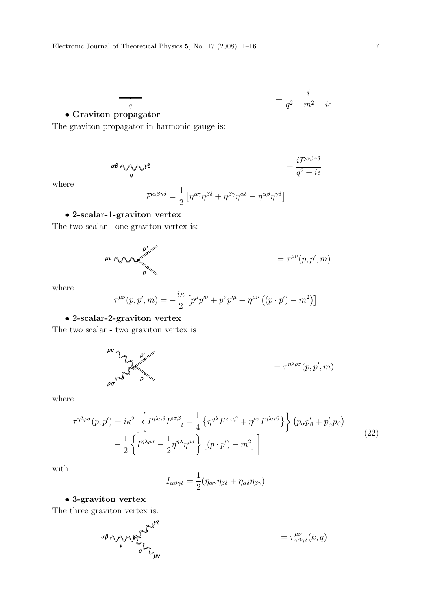$$
=\frac{i}{q^2-m^2+i\epsilon}
$$

# • **Graviton propagator**

The graviton propagator in harmonic gauge is:

 $\overline{\phantom{a}}$ 

$$
\alpha \beta \cos \theta \cos \theta = \frac{i \mathcal{P}^{\alpha \beta \gamma \delta}}{q^2 + i \epsilon}
$$

where

$$
\mathcal{P}^{\alpha\beta\gamma\delta} = \frac{1}{2} \left[ \eta^{\alpha\gamma} \eta^{\beta\delta} + \eta^{\beta\gamma} \eta^{\alpha\delta} - \eta^{\alpha\beta} \eta^{\gamma\delta} \right]
$$

# • **2-scalar-1-graviton vertex**

The two scalar - one graviton vertex is:

$$
\mu\nu \wedge \sim \sim \sim \mu
$$

where

$$
\tau^{\mu\nu}(p, p', m) = -\frac{i\kappa}{2} \left[ p^{\mu} p'^{\nu} + p^{\nu} p'^{\mu} - \eta^{\mu\nu} \left( (p \cdot p') - m^2 \right) \right]
$$

# • **2-scalar-2-graviton vertex**

The two scalar - two graviton vertex is

$$
\mu \nu \sum_{p \mid p} p' \left( p, p', m \right)
$$

where

$$
\tau^{\eta\lambda\rho\sigma}(p,p') = i\kappa^2 \left[ \left\{ I^{\eta\lambda\alpha\delta} I^{\rho\sigma\beta}{}_{\delta} - \frac{1}{4} \left\{ \eta^{\eta\lambda} I^{\rho\sigma\alpha\beta} + \eta^{\rho\sigma} I^{\eta\lambda\alpha\beta} \right\} \right\} (p_{\alpha}p'_{\beta} + p'_{\alpha}p_{\beta}) - \frac{1}{2} \left\{ I^{\eta\lambda\rho\sigma} - \frac{1}{2} \eta^{\eta\lambda} \eta^{\rho\sigma} \right\} [(p \cdot p') - m^2] \right]
$$
\n(22)

with

$$
I_{\alpha\beta\gamma\delta} = \frac{1}{2}(\eta_{\alpha\gamma}\eta_{\beta\delta} + \eta_{\alpha\delta}\eta_{\beta\gamma})
$$

# • **3-graviton vertex**

The three graviton vertex is:

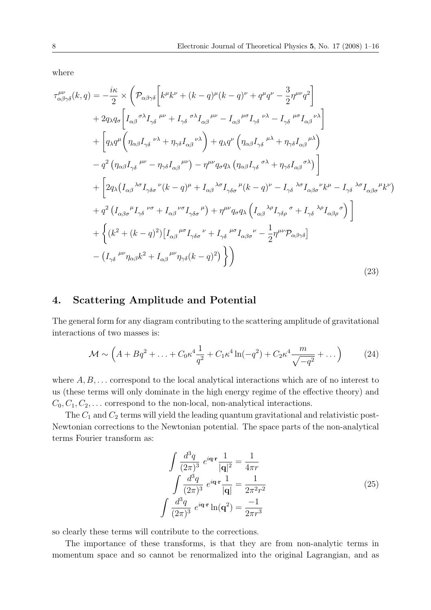where

$$
\tau_{\alpha\beta\gamma\delta}^{\mu\nu}(k,q) = -\frac{i\kappa}{2} \times \left( \mathcal{P}_{\alpha\beta\gamma\delta} \left[ k^{\mu}k^{\nu} + (k-q)^{\mu}(k-q)^{\nu} + q^{\mu}q^{\nu} - \frac{3}{2}\eta^{\mu\nu}q^{2} \right] \n+ 2q_{\lambda}q_{\sigma} \left[ I_{\alpha\beta}{}^{\sigma\lambda}I_{\gamma\delta}{}^{\mu\nu} + I_{\gamma\delta}{}^{\sigma\lambda}I_{\alpha\beta}{}^{\mu\nu} - I_{\alpha\beta}{}^{\mu\sigma}I_{\gamma\delta}{}^{\nu\lambda} - I_{\gamma\delta}{}^{\mu\sigma}I_{\alpha\beta}{}^{\nu\lambda} \right] \n+ \left[ q_{\lambda}q^{\mu} \left( \eta_{\alpha\beta}I_{\gamma\delta}{}^{\nu\lambda} + \eta_{\gamma\delta}I_{\alpha\beta}{}^{\nu\lambda} \right) + q_{\lambda}q^{\nu} \left( \eta_{\alpha\beta}I_{\gamma\delta}{}^{\mu\lambda} + \eta_{\gamma\delta}I_{\alpha\beta}{}^{\mu\lambda} \right) \right] \n- q^{2} \left( \eta_{\alpha\beta}I_{\gamma\delta}{}^{\mu\nu} - \eta_{\gamma\delta}I_{\alpha\beta}{}^{\mu\nu} \right) - \eta^{\mu\nu}q_{\sigma}q_{\lambda} \left( \eta_{\alpha\beta}I_{\gamma\delta}{}^{\sigma\lambda} + \eta_{\gamma\delta}I_{\alpha\beta}{}^{\sigma\lambda} \right) \right] \n+ \left[ 2q_{\lambda} (I_{\alpha\beta}{}^{\lambda\sigma}I_{\gamma\delta\sigma}{}^{\nu}(k-q)^{\mu} + I_{\alpha\beta}{}^{\lambda\sigma}I_{\gamma\delta\sigma}{}^{\mu}(k-q)^{\nu} - I_{\gamma\delta}{}^{\lambda\sigma}I_{\alpha\beta\sigma}{}^{\nu}k^{\mu} - I_{\gamma\delta}{}^{\lambda\sigma}I_{\alpha\beta\sigma}{}^{\mu}k^{\nu} \right) \n+ q^{2} \left( I_{\alpha\beta\sigma}{}^{\mu}I_{\gamma\delta}{}^{\nu\sigma} + I_{\alpha\beta}{}^{\nu\sigma}I_{\gamma\delta\sigma}{}^{\mu} \right) + \eta^{\mu\nu}q_{\sigma}q
$$

# **4. Scattering Amplitude and Potential**

The general form for any diagram contributing to the scattering amplitude of gravitational interactions of two masses is:

$$
\mathcal{M} \sim \left( A + Bq^2 + \ldots + C_0 \kappa^4 \frac{1}{q^2} + C_1 \kappa^4 \ln(-q^2) + C_2 \kappa^4 \frac{m}{\sqrt{-q^2}} + \ldots \right) \tag{24}
$$

where  $A, B, \ldots$  correspond to the local analytical interactions which are of no interest to us (these terms will only dominate in the high energy regime of the effective theory) and  $C_0, C_1, C_2, \ldots$  correspond to the non-local, non-analytical interactions.

The  $C_1$  and  $C_2$  terms will yield the leading quantum gravitational and relativistic post-Newtonian corrections to the Newtonian potential. The space parts of the non-analytical terms Fourier transform as:

$$
\int \frac{d^3q}{(2\pi)^3} e^{i\mathbf{q} \cdot \mathbf{r}} \frac{1}{|\mathbf{q}|^2} = \frac{1}{4\pi r}
$$
\n
$$
\int \frac{d^3q}{(2\pi)^3} e^{i\mathbf{q} \cdot \mathbf{r}} \frac{1}{|\mathbf{q}|} = \frac{1}{2\pi^2 r^2}
$$
\n
$$
\int \frac{d^3q}{(2\pi)^3} e^{i\mathbf{q} \cdot \mathbf{r}} \ln(\mathbf{q}^2) = \frac{-1}{2\pi r^3}
$$
\n(25)

so clearly these terms will contribute to the corrections.

The importance of these transforms, is that they are from non-analytic terms in momentum space and so cannot be renormalized into the original Lagrangian, and as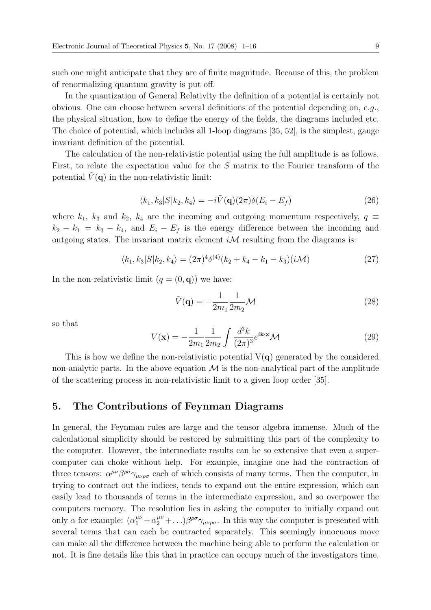such one might anticipate that they are of finite magnitude. Because of this, the problem of renormalizing quantum gravity is put off.

In the quantization of General Relativity the definition of a potential is certainly not obvious. One can choose between several definitions of the potential depending on,  $e.q.,$ the physical situation, how to define the energy of the fields, the diagrams included etc. The choice of potential, which includes all 1-loop diagrams [35, 52], is the simplest, gauge invariant definition of the potential.

The calculation of the non-relativistic potential using the full amplitude is as follows. First, to relate the expectation value for the S matrix to the Fourier transform of the potential  $V(\mathbf{q})$  in the non-relativistic limit:

$$
\langle k_1, k_3 | S | k_2, k_4 \rangle = -i \tilde{V}(\mathbf{q}) (2\pi) \delta(E_i - E_f)
$$
\n(26)

where  $k_1$ ,  $k_3$  and  $k_2$ ,  $k_4$  are the incoming and outgoing momentum respectively,  $q \equiv$  $k_2 - k_1 = k_3 - k_4$ , and  $E_i - E_f$  is the energy difference between the incoming and outgoing states. The invariant matrix element  $i\mathcal{M}$  resulting from the diagrams is:

$$
\langle k_1, k_3 | S | k_2, k_4 \rangle = (2\pi)^4 \delta^{(4)}(k_2 + k_4 - k_1 - k_3)(i\mathcal{M})
$$
\n(27)

In the non-relativistic limit  $(q = (0, \mathbf{q}))$  we have:

$$
\tilde{V}(\mathbf{q}) = -\frac{1}{2m_1} \frac{1}{2m_2} \mathcal{M}
$$
\n(28)

so that

$$
V(\mathbf{x}) = -\frac{1}{2m_1} \frac{1}{2m_2} \int \frac{d^3k}{(2\pi)^3} e^{i\mathbf{k}\cdot\mathbf{x}} \mathcal{M}
$$
 (29)

This is how we define the non-relativistic potential  $V(q)$  generated by the considered non-analytic parts. In the above equation  $\mathcal M$  is the non-analytical part of the amplitude of the scattering process in non-relativistic limit to a given loop order [35].

#### **5. The Contributions of Feynman Diagrams**

In general, the Feynman rules are large and the tensor algebra immense. Much of the calculational simplicity should be restored by submitting this part of the complexity to the computer. However, the intermediate results can be so extensive that even a supercomputer can choke without help. For example, imagine one had the contraction of three tensors:  $\alpha^{\mu\nu}\beta^{\rho\sigma}\gamma_{\mu\nu\rho\sigma}$  each of which consists of many terms. Then the computer, in trying to contract out the indices, tends to expand out the entire expression, which can easily lead to thousands of terms in the intermediate expression, and so overpower the computers memory. The resolution lies in asking the computer to initially expand out only  $\alpha$  for example:  $(\alpha_1^{\mu\nu} + \alpha_2^{\mu\nu} + ...) \beta^{\rho\sigma} \gamma_{\mu\nu\rho\sigma}$ . In this way the computer is presented with several terms that can each be contracted separately. This seemingly innocuous move can make all the difference between the machine being able to perform the calculation or not. It is fine details like this that in practice can occupy much of the investigators time.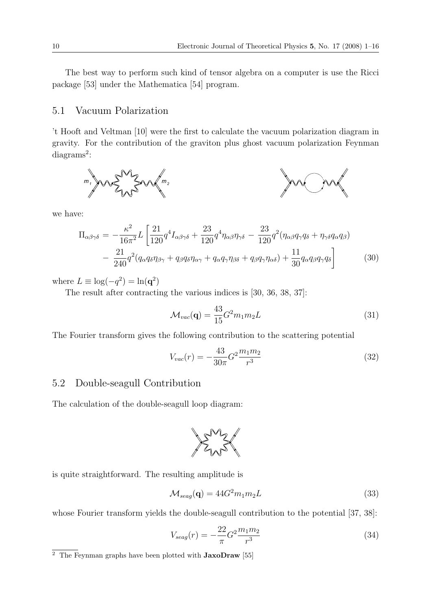The best way to perform such kind of tensor algebra on a computer is use the Ricci package [53] under the Mathematica [54] program.

# 5.1 Vacuum Polarization

't Hooft and Veltman [10] were the first to calculate the vacuum polarization diagram in gravity. For the contribution of the graviton plus ghost vacuum polarization Feynman diagrams<sup>2</sup>:



we have:

$$
\Pi_{\alpha\beta\gamma\delta} = -\frac{\kappa^2}{16\pi^2} L \left[ \frac{21}{120} q^4 I_{\alpha\beta\gamma\delta} + \frac{23}{120} q^4 \eta_{\alpha\beta} \eta_{\gamma\delta} - \frac{23}{120} q^2 (\eta_{\alpha\beta} q_{\gamma} q_{\delta} + \eta_{\gamma\delta} q_{\alpha} q_{\beta}) - \frac{21}{240} q^2 (q_{\alpha} q_{\delta} \eta_{\beta\gamma} + q_{\beta} q_{\delta} \eta_{\alpha\gamma} + q_{\alpha} q_{\gamma} \eta_{\beta\delta} + q_{\beta} q_{\gamma} \eta_{\alpha\delta}) + \frac{11}{30} q_{\alpha} q_{\beta} q_{\gamma} q_{\delta} \right]
$$
(30)

where  $L \equiv \log(-q^2) = \ln(\mathbf{q}^2)$ 

The result after contracting the various indices is [30, 36, 38, 37]:

$$
\mathcal{M}_{vac}(\mathbf{q}) = \frac{43}{15} G^2 m_1 m_2 L \tag{31}
$$

The Fourier transform gives the following contribution to the scattering potential

$$
V_{vac}(r) = -\frac{43}{30\pi}G^2 \frac{m_1 m_2}{r^3} \tag{32}
$$

# 5.2 Double-seagull Contribution

The calculation of the double-seagull loop diagram:



is quite straightforward. The resulting amplitude is

$$
\mathcal{M}_{seag}(\mathbf{q}) = 44G^2 m_1 m_2 L \tag{33}
$$

whose Fourier transform yields the double-seagull contribution to the potential [37, 38]:

$$
V_{seag}(r) = -\frac{22}{\pi} G^2 \frac{m_1 m_2}{r^3} \tag{34}
$$

<sup>2</sup> The Feynman graphs have been plotted with **JaxoDraw** [55]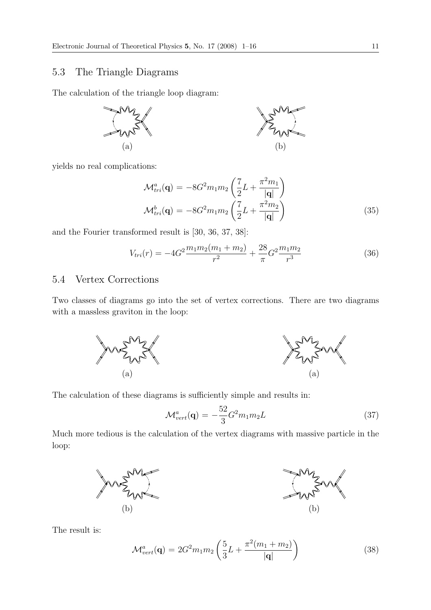# 5.3 The Triangle Diagrams

The calculation of the triangle loop diagram:



yields no real complications:

$$
\mathcal{M}_{tri}^{a}(\mathbf{q}) = -8G^{2}m_{1}m_{2} \left(\frac{7}{2}L + \frac{\pi^{2}m_{1}}{|\mathbf{q}|}\right)
$$

$$
\mathcal{M}_{tri}^{b}(\mathbf{q}) = -8G^{2}m_{1}m_{2} \left(\frac{7}{2}L + \frac{\pi^{2}m_{2}}{|\mathbf{q}|}\right)
$$
(35)

and the Fourier transformed result is [30, 36, 37, 38]:

$$
V_{tri}(r) = -4G^2 \frac{m_1 m_2 (m_1 + m_2)}{r^2} + \frac{28}{\pi} G^2 \frac{m_1 m_2}{r^3}
$$
(36)

# 5.4 Vertex Corrections

Two classes of diagrams go into the set of vertex corrections. There are two diagrams with a massless graviton in the loop:



The calculation of these diagrams is sufficiently simple and results in:

$$
\mathcal{M}_{vert}^{a}(\mathbf{q}) = -\frac{52}{3}G^{2}m_{1}m_{2}L\tag{37}
$$

Much more tedious is the calculation of the vertex diagrams with massive particle in the loop:



The result is:

$$
\mathcal{M}_{vert}^{a}(\mathbf{q}) = 2G^{2}m_{1}m_{2} \left( \frac{5}{3}L + \frac{\pi^{2}(m_{1} + m_{2})}{|\mathbf{q}|} \right)
$$
(38)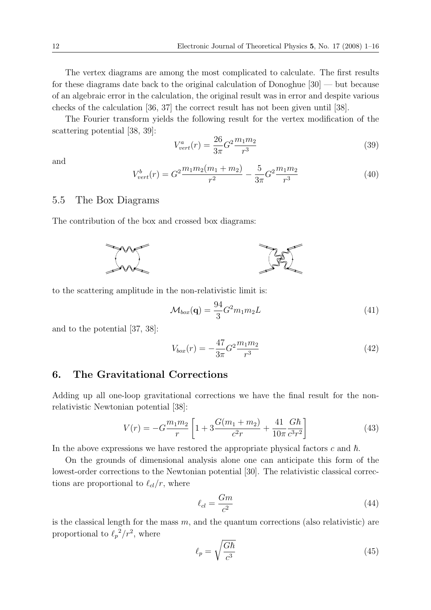The vertex diagrams are among the most complicated to calculate. The first results for these diagrams date back to the original calculation of Donoghue [30] — but because of an algebraic error in the calculation, the original result was in error and despite various checks of the calculation [36, 37] the correct result has not been given until [38].

The Fourier transform yields the following result for the vertex modification of the scattering potential [38, 39]:

$$
V_{vert}^{a}(r) = \frac{26}{3\pi}G^{2}\frac{m_{1}m_{2}}{r^{3}}
$$
\n(39)

and

$$
V_{vert}^{b}(r) = G^{2} \frac{m_{1} m_{2} (m_{1} + m_{2})}{r^{2}} - \frac{5}{3\pi} G^{2} \frac{m_{1} m_{2}}{r^{3}}
$$
(40)

#### 5.5 The Box Diagrams

The contribution of the box and crossed box diagrams:



to the scattering amplitude in the non-relativistic limit is:

$$
\mathcal{M}_{box}(\mathbf{q}) = \frac{94}{3} G^2 m_1 m_2 L \tag{41}
$$

and to the potential [37, 38]:

$$
V_{box}(r) = -\frac{47}{3\pi}G^2 \frac{m_1 m_2}{r^3} \tag{42}
$$

# **6. The Gravitational Corrections**

Adding up all one-loop gravitational corrections we have the final result for the nonrelativistic Newtonian potential [38]:

$$
V(r) = -G\frac{m_1m_2}{r} \left[ 1 + 3\frac{G(m_1 + m_2)}{c^2r} + \frac{41}{10\pi} \frac{G\hbar}{c^3r^2} \right]
$$
(43)

In the above expressions we have restored the appropriate physical factors  $c$  and  $\hbar$ .

On the grounds of dimensional analysis alone one can anticipate this form of the lowest-order corrections to the Newtonian potential [30]. The relativistic classical corrections are proportional to  $\ell_{cl}/r$ , where

$$
\ell_{cl} = \frac{Gm}{c^2} \tag{44}
$$

is the classical length for the mass  $m$ , and the quantum corrections (also relativistic) are proportional to  $\ell_p^2/r^2$ , where

$$
\ell_p = \sqrt{\frac{G\hbar}{c^3}}\tag{45}
$$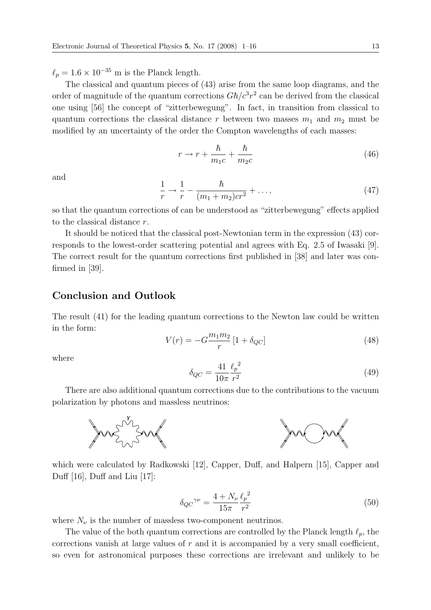$\ell_p = 1.6 \times 10^{-35}$  m is the Planck length.

The classical and quantum pieces of (43) arise from the same loop diagrams, and the order of magnitude of the quantum corrections  $G\hbar/c^3r^2$  can be derived from the classical one using [56] the concept of "zitterbewegung". In fact, in transition from classical to quantum corrections the classical distance r between two masses  $m_1$  and  $m_2$  must be modified by an uncertainty of the order the Compton wavelengths of each masses:

$$
r \to r + \frac{\hbar}{m_1 c} + \frac{\hbar}{m_2 c} \tag{46}
$$

and

$$
\frac{1}{r} \to \frac{1}{r} - \frac{\hbar}{(m_1 + m_2)cr^2} + \dots,
$$
\n(47)

so that the quantum corrections of can be understood as "zitterbewegung" effects applied to the classical distance r.

It should be noticed that the classical post-Newtonian term in the expression (43) corresponds to the lowest-order scattering potential and agrees with Eq. 2.5 of Iwasaki [9]. The correct result for the quantum corrections first published in [38] and later was confirmed in [39].

# **Conclusion and Outlook**

The result (41) for the leading quantum corrections to the Newton law could be written in the form:

$$
V(r) = -G\frac{m_1 m_2}{r} [1 + \delta_{QC}]
$$
\n(48)

where

$$
\delta_{QC} = \frac{41}{10\pi} \frac{\ell_p^2}{r^2}
$$
\n(49)

There are also additional quantum corrections due to the contributions to the vacuum polarization by photons and massless neutrinos:



which were calculated by Radkowski [12], Capper, Duff, and Halpern [15], Capper and Duff [16], Duff and Liu [17]:

$$
\delta_{QC}^{\gamma \nu} = \frac{4 + N_{\nu}}{15\pi} \frac{\ell_p^2}{r^2} \tag{50}
$$

where  $N_{\nu}$  is the number of massless two-component neutrinos.

The value of the both quantum corrections are controlled by the Planck length  $\ell_p$ , the corrections vanish at large values of  $r$  and it is accompanied by a very small coefficient, so even for astronomical purposes these corrections are irrelevant and unlikely to be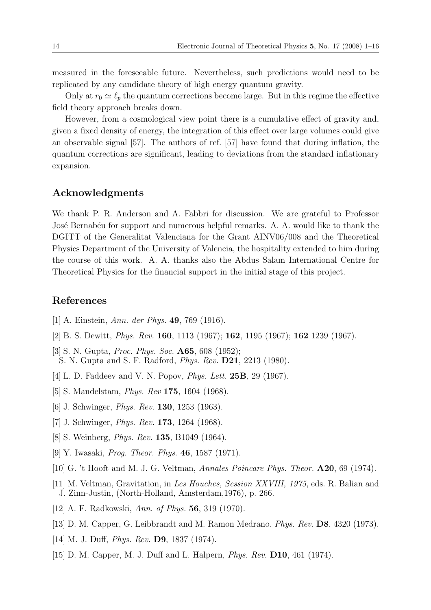measured in the foreseeable future. Nevertheless, such predictions would need to be replicated by any candidate theory of high energy quantum gravity.

Only at  $r_0 \simeq \ell_p$  the quantum corrections become large. But in this regime the effective field theory approach breaks down.

However, from a cosmological view point there is a cumulative effect of gravity and, given a fixed density of energy, the integration of this effect over large volumes could give an observable signal [57]. The authors of ref. [57] have found that during inflation, the quantum corrections are significant, leading to deviations from the standard inflationary expansion.

# **Acknowledgments**

We thank P. R. Anderson and A. Fabbri for discussion. We are grateful to Professor José Bernabéu for support and numerous helpful remarks. A. A. would like to thank the DGITT of the Generalitat Valenciana for the Grant AINV06/008 and the Theoretical Physics Department of the University of Valencia, the hospitality extended to him during the course of this work. A. A. thanks also the Abdus Salam International Centre for Theoretical Physics for the financial support in the initial stage of this project.

# **References**

- [1] A. Einstein, Ann. der Phys. **49**, 769 (1916).
- [2] B. S. Dewitt, Phys. Rev. **160**, 1113 (1967); **162**, 1195 (1967); **162** 1239 (1967).
- [3] S. N. Gupta, Proc. Phys. Soc. **A65**, 608 (1952); S. N. Gupta and S. F. Radford, Phys. Rev. **D21**, 2213 (1980).
- [4] L. D. Faddeev and V. N. Popov, Phys. Lett. **25B**, 29 (1967).
- [5] S. Mandelstam, Phys. Rev **175**, 1604 (1968).
- [6] J. Schwinger, Phys. Rev. **130**, 1253 (1963).
- [7] J. Schwinger, Phys. Rev. **173**, 1264 (1968).
- [8] S. Weinberg, Phys. Rev. **135**, B1049 (1964).
- [9] Y. Iwasaki, Prog. Theor. Phys. **46**, 1587 (1971).
- [10] G. 't Hooft and M. J. G. Veltman, Annales Poincare Phys. Theor. **A20**, 69 (1974).
- [11] M. Veltman, Gravitation, in Les Houches, Session XXVIII, 1975, eds. R. Balian and J. Zinn-Justin, (North-Holland, Amsterdam,1976), p. 266.
- [12] A. F. Radkowski, Ann. of Phys. **56**, 319 (1970).
- [13] D. M. Capper, G. Leibbrandt and M. Ramon Medrano, Phys. Rev. **D8**, 4320 (1973).
- [14] M. J. Duff, Phys. Rev. **D9**, 1837 (1974).
- [15] D. M. Capper, M. J. Duff and L. Halpern, Phys. Rev. **D10**, 461 (1974).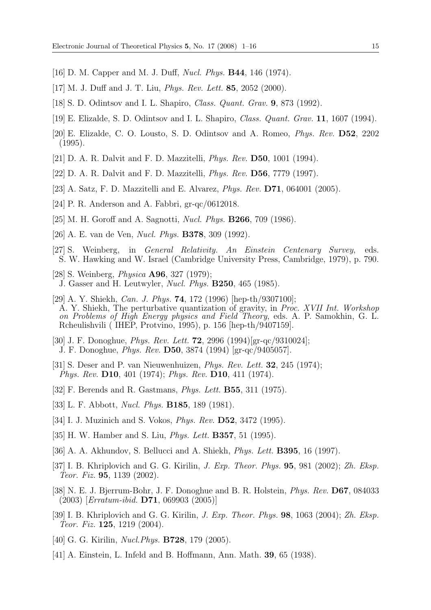- [16] D. M. Capper and M. J. Duff, Nucl. Phys. **B44**, 146 (1974).
- [17] M. J. Duff and J. T. Liu, Phys. Rev. Lett. **85**, 2052 (2000).
- [18] S. D. Odintsov and I. L. Shapiro, Class. Quant. Grav. **9**, 873 (1992).
- [19] E. Elizalde, S. D. Odintsov and I. L. Shapiro, Class. Quant. Grav. **11**, 1607 (1994).
- [20] E. Elizalde, C. O. Lousto, S. D. Odintsov and A. Romeo, Phys. Rev. **D52**, 2202 (1995).
- [21] D. A. R. Dalvit and F. D. Mazzitelli, Phys. Rev. **D50**, 1001 (1994).
- [22] D. A. R. Dalvit and F. D. Mazzitelli, Phys. Rev. **D56**, 7779 (1997).
- [23] A. Satz, F. D. Mazzitelli and E. Alvarez, Phys. Rev. **D71**, 064001 (2005).
- [24] P. R. Anderson and A. Fabbri, gr-qc/0612018.
- [25] M. H. Goroff and A. Sagnotti, Nucl. Phys. **B266**, 709 (1986).
- [26] A. E. van de Ven, Nucl. Phys. **B378**, 309 (1992).
- [27] S. Weinberg, in General Relativity. An Einstein Centenary Survey, eds. S. W. Hawking and W. Israel (Cambridge University Press, Cambridge, 1979), p. 790.
- [28] S. Weinberg, Physica **A96**, 327 (1979); J. Gasser and H. Leutwyler, Nucl. Phys. **B250**, 465 (1985).
- [29] A. Y. Shiekh, Can. J. Phys. **74**, 172 (1996) [hep-th/9307100]; A. Y. Shiekh, The perturbative quantization of gravity, in Proc. XVII Int. Workshop on Problems of High Energy physics and Field Theory, eds. A. P. Samokhin, G. L. Rcheulishvili ( IHEP, Protvino, 1995), p. 156 [hep-th/9407159].
- [30] J. F. Donoghue, Phys. Rev. Lett. **72**, 2996 (1994)[gr-qc/9310024]; J. F. Donoghue, Phys. Rev. **D50**, 3874 (1994) [gr-qc/9405057].
- [31] S. Deser and P. van Nieuwenhuizen, Phys. Rev. Lett. **32**, 245 (1974); Phys. Rev. **D10**, 401 (1974); Phys. Rev. **D10**, 411 (1974).
- [32] F. Berends and R. Gastmans, Phys. Lett. **B55**, 311 (1975).
- [33] L. F. Abbott, Nucl. Phys. **B185**, 189 (1981).
- [34] I. J. Muzinich and S. Vokos, Phys. Rev. **D52**, 3472 (1995).
- [35] H. W. Hamber and S. Liu, Phys. Lett. **B357**, 51 (1995).
- [36] A. A. Akhundov, S. Bellucci and A. Shiekh, Phys. Lett. **B395**, 16 (1997).
- [37] I. B. Khriplovich and G. G. Kirilin, J. Exp. Theor. Phys. **95**, 981 (2002); Zh. Eksp. Teor. Fiz. **95**, 1139 (2002).
- [38] N. E. J. Bjerrum-Bohr, J. F. Donoghue and B. R. Holstein, Phys. Rev. **D67**, 084033 (2003) [Erratum-ibid. **D71**, 069903 (2005)]
- [39] I. B. Khriplovich and G. G. Kirilin, J. Exp. Theor. Phys. **98**, 1063 (2004); Zh. Eksp. Teor. Fiz. **125**, 1219 (2004).
- [40] G. G. Kirilin, Nucl.Phys. **B728**, 179 (2005).
- [41] A. Einstein, L. Infeld and B. Hoffmann, Ann. Math. **39**, 65 (1938).